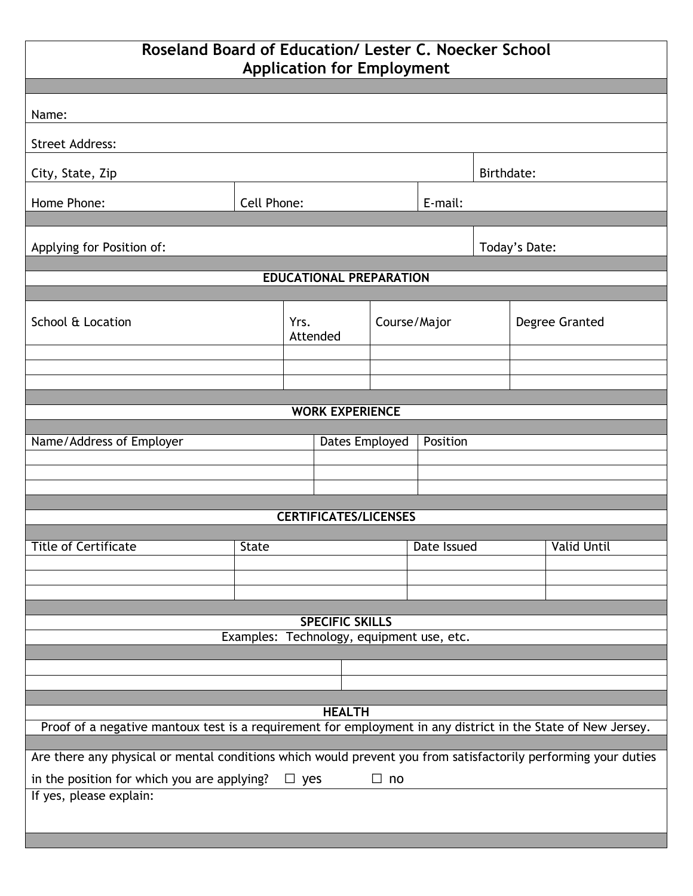## **Roseland Board of Education/ Lester C. Noecker School Application for Employment**

| <b>Application for Employment</b>                                                                              |              |                  |                |              |               |                |  |                    |  |  |  |
|----------------------------------------------------------------------------------------------------------------|--------------|------------------|----------------|--------------|---------------|----------------|--|--------------------|--|--|--|
| Name:                                                                                                          |              |                  |                |              |               |                |  |                    |  |  |  |
|                                                                                                                |              |                  |                |              |               |                |  |                    |  |  |  |
| <b>Street Address:</b>                                                                                         |              |                  |                |              |               |                |  |                    |  |  |  |
| City, State, Zip                                                                                               |              |                  |                |              |               | Birthdate:     |  |                    |  |  |  |
| Home Phone:                                                                                                    | Cell Phone:  |                  |                |              | E-mail:       |                |  |                    |  |  |  |
|                                                                                                                |              |                  |                |              |               |                |  |                    |  |  |  |
| Applying for Position of:                                                                                      |              |                  |                |              | Today's Date: |                |  |                    |  |  |  |
| <b>EDUCATIONAL PREPARATION</b>                                                                                 |              |                  |                |              |               |                |  |                    |  |  |  |
| School & Location                                                                                              |              | Yrs.<br>Attended |                | Course/Major |               |                |  |                    |  |  |  |
|                                                                                                                |              |                  |                |              |               | Degree Granted |  |                    |  |  |  |
|                                                                                                                |              |                  |                |              |               |                |  |                    |  |  |  |
|                                                                                                                |              |                  |                |              |               |                |  |                    |  |  |  |
| <b>WORK EXPERIENCE</b>                                                                                         |              |                  |                |              |               |                |  |                    |  |  |  |
| Name/Address of Employer                                                                                       |              |                  | Dates Employed |              | Position      |                |  |                    |  |  |  |
|                                                                                                                |              |                  |                |              |               |                |  |                    |  |  |  |
|                                                                                                                |              |                  |                |              |               |                |  |                    |  |  |  |
| <b>CERTIFICATES/LICENSES</b>                                                                                   |              |                  |                |              |               |                |  |                    |  |  |  |
|                                                                                                                |              |                  |                |              |               |                |  |                    |  |  |  |
| <b>Title of Certificate</b>                                                                                    | <b>State</b> |                  |                |              | Date Issued   |                |  | <b>Valid Until</b> |  |  |  |
|                                                                                                                |              |                  |                |              |               |                |  |                    |  |  |  |
|                                                                                                                |              |                  |                |              |               |                |  |                    |  |  |  |
| <b>SPECIFIC SKILLS</b><br>Examples: Technology, equipment use, etc.                                            |              |                  |                |              |               |                |  |                    |  |  |  |
|                                                                                                                |              |                  |                |              |               |                |  |                    |  |  |  |
|                                                                                                                |              |                  |                |              |               |                |  |                    |  |  |  |
| <b>HEALTH</b>                                                                                                  |              |                  |                |              |               |                |  |                    |  |  |  |
| Proof of a negative mantoux test is a requirement for employment in any district in the State of New Jersey.   |              |                  |                |              |               |                |  |                    |  |  |  |
| Are there any physical or mental conditions which would prevent you from satisfactorily performing your duties |              |                  |                |              |               |                |  |                    |  |  |  |
| in the position for which you are applying?<br>$\Box$ yes<br>$\Box$ no                                         |              |                  |                |              |               |                |  |                    |  |  |  |
| If yes, please explain:                                                                                        |              |                  |                |              |               |                |  |                    |  |  |  |
|                                                                                                                |              |                  |                |              |               |                |  |                    |  |  |  |